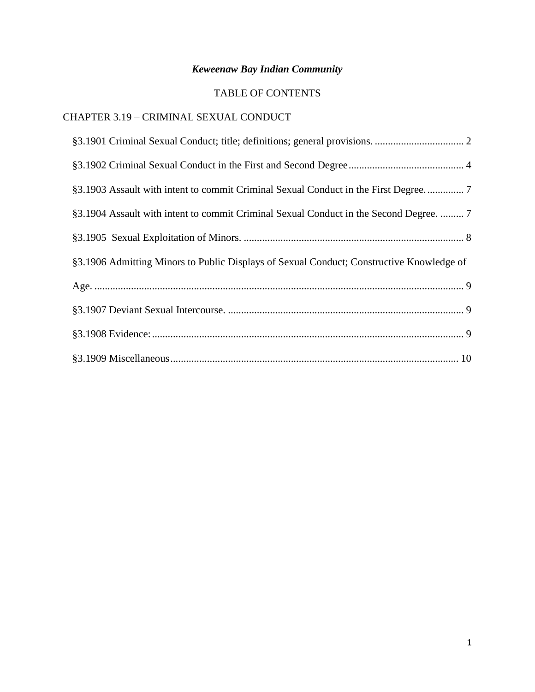# *Keweenaw Bay Indian Community*

# TABLE OF CONTENTS

# CHAPTER 3.19 – CRIMINAL SEXUAL CONDUCT

| §3.1903 Assault with intent to commit Criminal Sexual Conduct in the First Degree7       |
|------------------------------------------------------------------------------------------|
| §3.1904 Assault with intent to commit Criminal Sexual Conduct in the Second Degree.  7   |
|                                                                                          |
| §3.1906 Admitting Minors to Public Displays of Sexual Conduct; Constructive Knowledge of |
|                                                                                          |
|                                                                                          |
|                                                                                          |
|                                                                                          |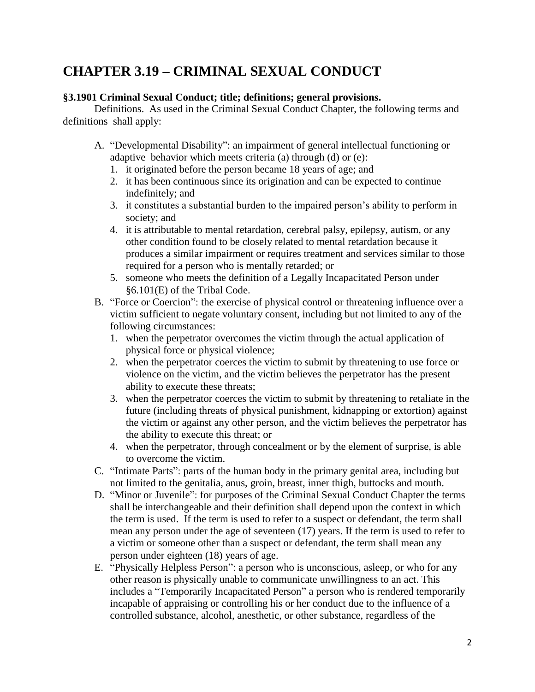# **CHAPTER 3.19 – CRIMINAL SEXUAL CONDUCT**

# <span id="page-1-0"></span>**§3.1901 Criminal Sexual Conduct; title; definitions; general provisions.**

Definitions. As used in the Criminal Sexual Conduct Chapter, the following terms and definitions shall apply:

- A. "Developmental Disability": an impairment of general intellectual functioning or adaptive behavior which meets criteria (a) through (d) or (e):
	- 1. it originated before the person became 18 years of age; and
	- 2. it has been continuous since its origination and can be expected to continue indefinitely; and
	- 3. it constitutes a substantial burden to the impaired person's ability to perform in society; and
	- 4. it is attributable to mental retardation, cerebral palsy, epilepsy, autism, or any other condition found to be closely related to mental retardation because it produces a similar impairment or requires treatment and services similar to those required for a person who is mentally retarded; or
	- 5. someone who meets the definition of a Legally Incapacitated Person under §6.101(E) of the Tribal Code.
- B. "Force or Coercion": the exercise of physical control or threatening influence over a victim sufficient to negate voluntary consent, including but not limited to any of the following circumstances:
	- 1. when the perpetrator overcomes the victim through the actual application of physical force or physical violence;
	- 2. when the perpetrator coerces the victim to submit by threatening to use force or violence on the victim, and the victim believes the perpetrator has the present ability to execute these threats;
	- 3. when the perpetrator coerces the victim to submit by threatening to retaliate in the future (including threats of physical punishment, kidnapping or extortion) against the victim or against any other person, and the victim believes the perpetrator has the ability to execute this threat; or
	- 4. when the perpetrator, through concealment or by the element of surprise, is able to overcome the victim.
- C. "Intimate Parts": parts of the human body in the primary genital area, including but not limited to the genitalia, anus, groin, breast, inner thigh, buttocks and mouth.
- D. "Minor or Juvenile": for purposes of the Criminal Sexual Conduct Chapter the terms shall be interchangeable and their definition shall depend upon the context in which the term is used. If the term is used to refer to a suspect or defendant, the term shall mean any person under the age of seventeen (17) years. If the term is used to refer to a victim or someone other than a suspect or defendant, the term shall mean any person under eighteen (18) years of age.
- E. "Physically Helpless Person": a person who is unconscious, asleep, or who for any other reason is physically unable to communicate unwillingness to an act. This includes a "Temporarily Incapacitated Person" a person who is rendered temporarily incapable of appraising or controlling his or her conduct due to the influence of a controlled substance, alcohol, anesthetic, or other substance, regardless of the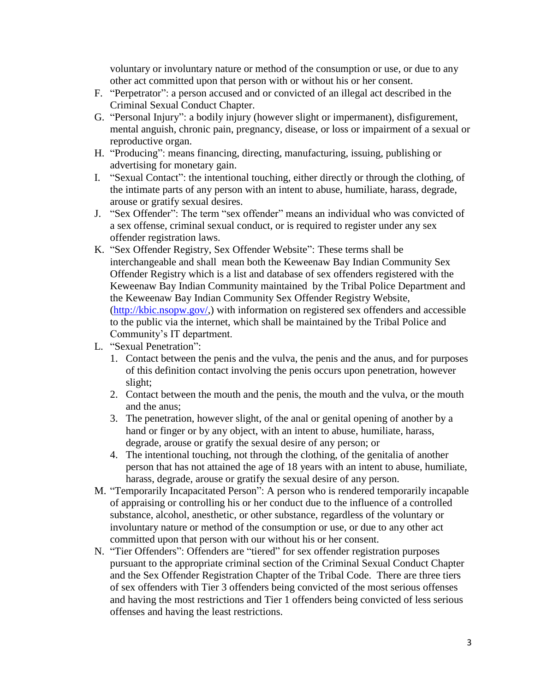voluntary or involuntary nature or method of the consumption or use, or due to any other act committed upon that person with or without his or her consent.

- F. "Perpetrator": a person accused and or convicted of an illegal act described in the Criminal Sexual Conduct Chapter.
- G. "Personal Injury": a bodily injury (however slight or impermanent), disfigurement, mental anguish, chronic pain, pregnancy, disease, or loss or impairment of a sexual or reproductive organ.
- H. "Producing": means financing, directing, manufacturing, issuing, publishing or advertising for monetary gain.
- I. "Sexual Contact": the intentional touching, either directly or through the clothing, of the intimate parts of any person with an intent to abuse, humiliate, harass, degrade, arouse or gratify sexual desires.
- J. "Sex Offender": The term "sex offender" means an individual who was convicted of a sex offense, criminal sexual conduct, or is required to register under any sex offender registration laws.
- K. "Sex Offender Registry, Sex Offender Website": These terms shall be interchangeable and shall mean both the Keweenaw Bay Indian Community Sex Offender Registry which is a list and database of sex offenders registered with the Keweenaw Bay Indian Community maintained by the Tribal Police Department and the Keweenaw Bay Indian Community Sex Offender Registry Website, [\(http://kbic.nsopw.gov/,](http://kbic.nsopw.gov/)) with information on registered sex offenders and accessible to the public via the internet, which shall be maintained by the Tribal Police and Community's IT department.
- L. "Sexual Penetration":
	- 1. Contact between the penis and the vulva, the penis and the anus, and for purposes of this definition contact involving the penis occurs upon penetration, however slight;
	- 2. Contact between the mouth and the penis, the mouth and the vulva, or the mouth and the anus;
	- 3. The penetration, however slight, of the anal or genital opening of another by a hand or finger or by any object, with an intent to abuse, humiliate, harass, degrade, arouse or gratify the sexual desire of any person; or
	- 4. The intentional touching, not through the clothing, of the genitalia of another person that has not attained the age of 18 years with an intent to abuse, humiliate, harass, degrade, arouse or gratify the sexual desire of any person.
- M. "Temporarily Incapacitated Person": A person who is rendered temporarily incapable of appraising or controlling his or her conduct due to the influence of a controlled substance, alcohol, anesthetic, or other substance, regardless of the voluntary or involuntary nature or method of the consumption or use, or due to any other act committed upon that person with our without his or her consent.
- N. "Tier Offenders": Offenders are "tiered" for sex offender registration purposes pursuant to the appropriate criminal section of the Criminal Sexual Conduct Chapter and the Sex Offender Registration Chapter of the Tribal Code. There are three tiers of sex offenders with Tier 3 offenders being convicted of the most serious offenses and having the most restrictions and Tier 1 offenders being convicted of less serious offenses and having the least restrictions.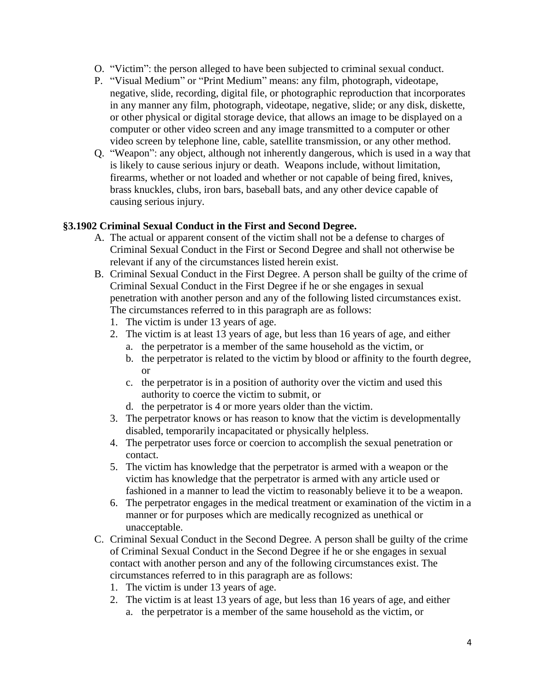- O. "Victim": the person alleged to have been subjected to criminal sexual conduct.
- P. "Visual Medium" or "Print Medium" means: any film, photograph, videotape, negative, slide, recording, digital file, or photographic reproduction that incorporates in any manner any film, photograph, videotape, negative, slide; or any disk, diskette, or other physical or digital storage device, that allows an image to be displayed on a computer or other video screen and any image transmitted to a computer or other video screen by telephone line, cable, satellite transmission, or any other method.
- Q. "Weapon": any object, although not inherently dangerous, which is used in a way that is likely to cause serious injury or death. Weapons include, without limitation, firearms, whether or not loaded and whether or not capable of being fired, knives, brass knuckles, clubs, iron bars, baseball bats, and any other device capable of causing serious injury.

# <span id="page-3-0"></span>**§3.1902 Criminal Sexual Conduct in the First and Second Degree.**

- A. The actual or apparent consent of the victim shall not be a defense to charges of Criminal Sexual Conduct in the First or Second Degree and shall not otherwise be relevant if any of the circumstances listed herein exist.
- B. Criminal Sexual Conduct in the First Degree. A person shall be guilty of the crime of Criminal Sexual Conduct in the First Degree if he or she engages in sexual penetration with another person and any of the following listed circumstances exist. The circumstances referred to in this paragraph are as follows:
	- 1. The victim is under 13 years of age.
	- 2. The victim is at least 13 years of age, but less than 16 years of age, and either
		- a. the perpetrator is a member of the same household as the victim, or
		- b. the perpetrator is related to the victim by blood or affinity to the fourth degree, or
		- c. the perpetrator is in a position of authority over the victim and used this authority to coerce the victim to submit, or
		- d. the perpetrator is 4 or more years older than the victim.
	- 3. The perpetrator knows or has reason to know that the victim is developmentally disabled, temporarily incapacitated or physically helpless.
	- 4. The perpetrator uses force or coercion to accomplish the sexual penetration or contact.
	- 5. The victim has knowledge that the perpetrator is armed with a weapon or the victim has knowledge that the perpetrator is armed with any article used or fashioned in a manner to lead the victim to reasonably believe it to be a weapon.
	- 6. The perpetrator engages in the medical treatment or examination of the victim in a manner or for purposes which are medically recognized as unethical or unacceptable.
- C. Criminal Sexual Conduct in the Second Degree. A person shall be guilty of the crime of Criminal Sexual Conduct in the Second Degree if he or she engages in sexual contact with another person and any of the following circumstances exist. The circumstances referred to in this paragraph are as follows:
	- 1. The victim is under 13 years of age.
	- 2. The victim is at least 13 years of age, but less than 16 years of age, and either
		- a. the perpetrator is a member of the same household as the victim, or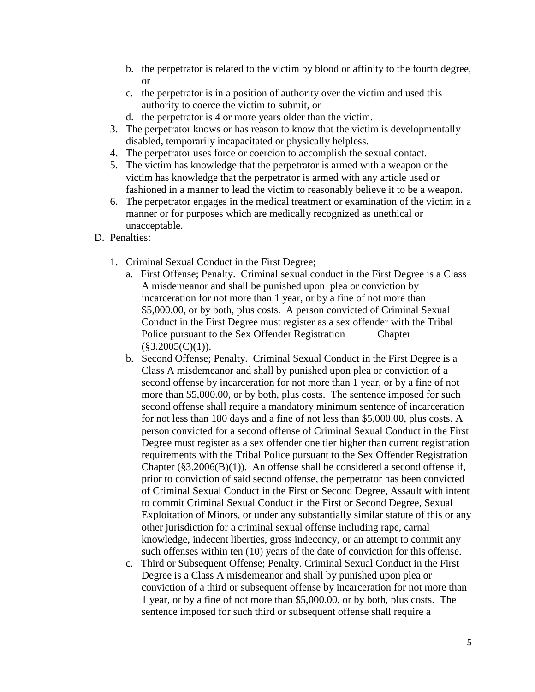- b. the perpetrator is related to the victim by blood or affinity to the fourth degree, or
- c. the perpetrator is in a position of authority over the victim and used this authority to coerce the victim to submit, or
- d. the perpetrator is 4 or more years older than the victim.
- 3. The perpetrator knows or has reason to know that the victim is developmentally disabled, temporarily incapacitated or physically helpless.
- 4. The perpetrator uses force or coercion to accomplish the sexual contact.
- 5. The victim has knowledge that the perpetrator is armed with a weapon or the victim has knowledge that the perpetrator is armed with any article used or fashioned in a manner to lead the victim to reasonably believe it to be a weapon.
- 6. The perpetrator engages in the medical treatment or examination of the victim in a manner or for purposes which are medically recognized as unethical or unacceptable.
- D. Penalties:
	- 1. Criminal Sexual Conduct in the First Degree;
		- a. First Offense; Penalty. Criminal sexual conduct in the First Degree is a Class A misdemeanor and shall be punished upon plea or conviction by incarceration for not more than 1 year, or by a fine of not more than \$5,000.00, or by both, plus costs. A person convicted of Criminal Sexual Conduct in the First Degree must register as a sex offender with the Tribal Police pursuant to the Sex Offender Registration Chapter  $(\$3.2005(C)(1)).$
		- b. Second Offense; Penalty. Criminal Sexual Conduct in the First Degree is a Class A misdemeanor and shall by punished upon plea or conviction of a second offense by incarceration for not more than 1 year, or by a fine of not more than \$5,000.00, or by both, plus costs. The sentence imposed for such second offense shall require a mandatory minimum sentence of incarceration for not less than 180 days and a fine of not less than \$5,000.00, plus costs. A person convicted for a second offense of Criminal Sexual Conduct in the First Degree must register as a sex offender one tier higher than current registration requirements with the Tribal Police pursuant to the Sex Offender Registration Chapter  $(\S 3.2006(B)(1))$ . An offense shall be considered a second offense if, prior to conviction of said second offense, the perpetrator has been convicted of Criminal Sexual Conduct in the First or Second Degree, Assault with intent to commit Criminal Sexual Conduct in the First or Second Degree, Sexual Exploitation of Minors, or under any substantially similar statute of this or any other jurisdiction for a criminal sexual offense including rape, carnal knowledge, indecent liberties, gross indecency, or an attempt to commit any such offenses within ten (10) years of the date of conviction for this offense.
		- c. Third or Subsequent Offense; Penalty. Criminal Sexual Conduct in the First Degree is a Class A misdemeanor and shall by punished upon plea or conviction of a third or subsequent offense by incarceration for not more than 1 year, or by a fine of not more than \$5,000.00, or by both, plus costs. The sentence imposed for such third or subsequent offense shall require a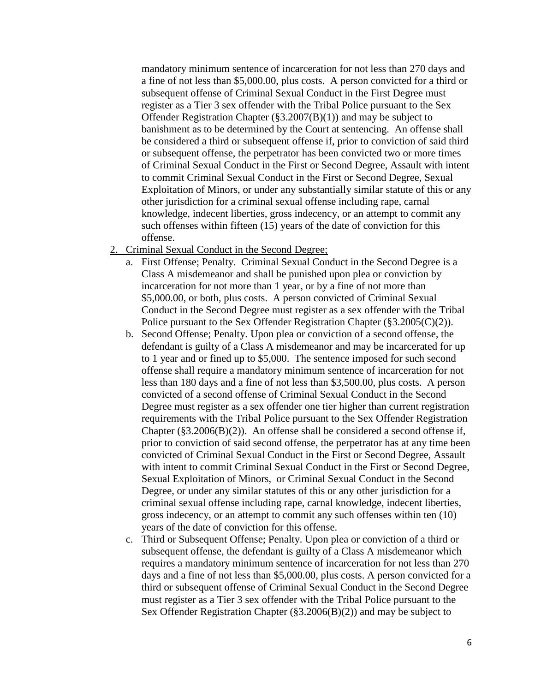mandatory minimum sentence of incarceration for not less than 270 days and a fine of not less than \$5,000.00, plus costs. A person convicted for a third or subsequent offense of Criminal Sexual Conduct in the First Degree must register as a Tier 3 sex offender with the Tribal Police pursuant to the Sex Offender Registration Chapter (§3.2007(B)(1)) and may be subject to banishment as to be determined by the Court at sentencing. An offense shall be considered a third or subsequent offense if, prior to conviction of said third or subsequent offense, the perpetrator has been convicted two or more times of Criminal Sexual Conduct in the First or Second Degree, Assault with intent to commit Criminal Sexual Conduct in the First or Second Degree, Sexual Exploitation of Minors, or under any substantially similar statute of this or any other jurisdiction for a criminal sexual offense including rape, carnal knowledge, indecent liberties, gross indecency, or an attempt to commit any such offenses within fifteen (15) years of the date of conviction for this offense.

- 2. Criminal Sexual Conduct in the Second Degree;
	- a. First Offense; Penalty. Criminal Sexual Conduct in the Second Degree is a Class A misdemeanor and shall be punished upon plea or conviction by incarceration for not more than 1 year, or by a fine of not more than \$5,000.00, or both, plus costs. A person convicted of Criminal Sexual Conduct in the Second Degree must register as a sex offender with the Tribal Police pursuant to the Sex Offender Registration Chapter (§3.2005(C)(2)).
	- b. Second Offense; Penalty. Upon plea or conviction of a second offense, the defendant is guilty of a Class A misdemeanor and may be incarcerated for up to 1 year and or fined up to \$5,000. The sentence imposed for such second offense shall require a mandatory minimum sentence of incarceration for not less than 180 days and a fine of not less than \$3,500.00, plus costs. A person convicted of a second offense of Criminal Sexual Conduct in the Second Degree must register as a sex offender one tier higher than current registration requirements with the Tribal Police pursuant to the Sex Offender Registration Chapter  $(\S 3.2006(B)(2))$ . An offense shall be considered a second offense if, prior to conviction of said second offense, the perpetrator has at any time been convicted of Criminal Sexual Conduct in the First or Second Degree, Assault with intent to commit Criminal Sexual Conduct in the First or Second Degree, Sexual Exploitation of Minors, or Criminal Sexual Conduct in the Second Degree, or under any similar statutes of this or any other jurisdiction for a criminal sexual offense including rape, carnal knowledge, indecent liberties, gross indecency, or an attempt to commit any such offenses within ten (10) years of the date of conviction for this offense.
	- c. Third or Subsequent Offense; Penalty. Upon plea or conviction of a third or subsequent offense, the defendant is guilty of a Class A misdemeanor which requires a mandatory minimum sentence of incarceration for not less than 270 days and a fine of not less than \$5,000.00, plus costs. A person convicted for a third or subsequent offense of Criminal Sexual Conduct in the Second Degree must register as a Tier 3 sex offender with the Tribal Police pursuant to the Sex Offender Registration Chapter (§3.2006(B)(2)) and may be subject to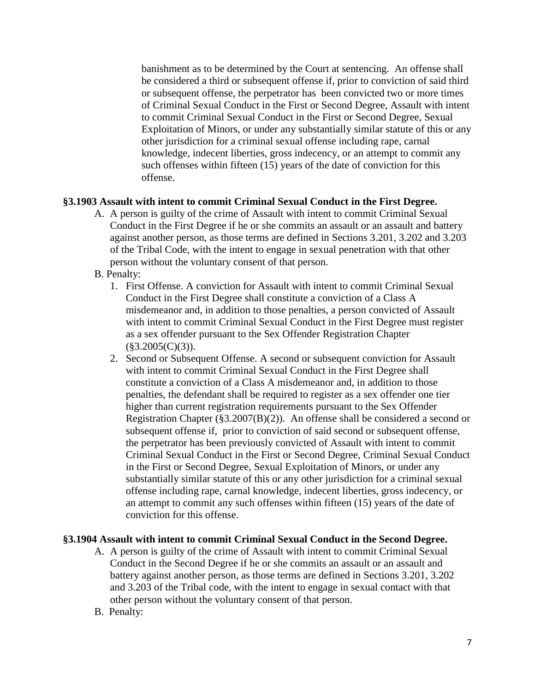banishment as to be determined by the Court at sentencing. An offense shall be considered a third or subsequent offense if, prior to conviction of said third or subsequent offense, the perpetrator has been convicted two or more times of Criminal Sexual Conduct in the First or Second Degree, Assault with intent to commit Criminal Sexual Conduct in the First or Second Degree, Sexual Exploitation of Minors, or under any substantially similar statute of this or any other jurisdiction for a criminal sexual offense including rape, carnal knowledge, indecent liberties, gross indecency, or an attempt to commit any such offenses within fifteen (15) years of the date of conviction for this offense.

#### <span id="page-6-0"></span>**§3.1903 Assault with intent to commit Criminal Sexual Conduct in the First Degree.**

- A. A person is guilty of the crime of Assault with intent to commit Criminal Sexual Conduct in the First Degree if he or she commits an assault or an assault and battery against another person, as those terms are defined in Sections 3.201, 3.202 and 3.203 of the Tribal Code, with the intent to engage in sexual penetration with that other person without the voluntary consent of that person.
- B. Penalty:
	- 1. First Offense. A conviction for Assault with intent to commit Criminal Sexual Conduct in the First Degree shall constitute a conviction of a Class A misdemeanor and, in addition to those penalties, a person convicted of Assault with intent to commit Criminal Sexual Conduct in the First Degree must register as a sex offender pursuant to the Sex Offender Registration Chapter  $(\$3.2005(C)(3)).$
	- 2. Second or Subsequent Offense. A second or subsequent conviction for Assault with intent to commit Criminal Sexual Conduct in the First Degree shall constitute a conviction of a Class A misdemeanor and, in addition to those penalties, the defendant shall be required to register as a sex offender one tier higher than current registration requirements pursuant to the Sex Offender Registration Chapter (§3.2007(B)(2)). An offense shall be considered a second or subsequent offense if, prior to conviction of said second or subsequent offense, the perpetrator has been previously convicted of Assault with intent to commit Criminal Sexual Conduct in the First or Second Degree, Criminal Sexual Conduct in the First or Second Degree, Sexual Exploitation of Minors, or under any substantially similar statute of this or any other jurisdiction for a criminal sexual offense including rape, carnal knowledge, indecent liberties, gross indecency, or an attempt to commit any such offenses within fifteen (15) years of the date of conviction for this offense.

#### <span id="page-6-1"></span>**§3.1904 Assault with intent to commit Criminal Sexual Conduct in the Second Degree.**

- A. A person is guilty of the crime of Assault with intent to commit Criminal Sexual Conduct in the Second Degree if he or she commits an assault or an assault and battery against another person, as those terms are defined in Sections 3.201, 3.202 and 3.203 of the Tribal code, with the intent to engage in sexual contact with that other person without the voluntary consent of that person.
- B. Penalty: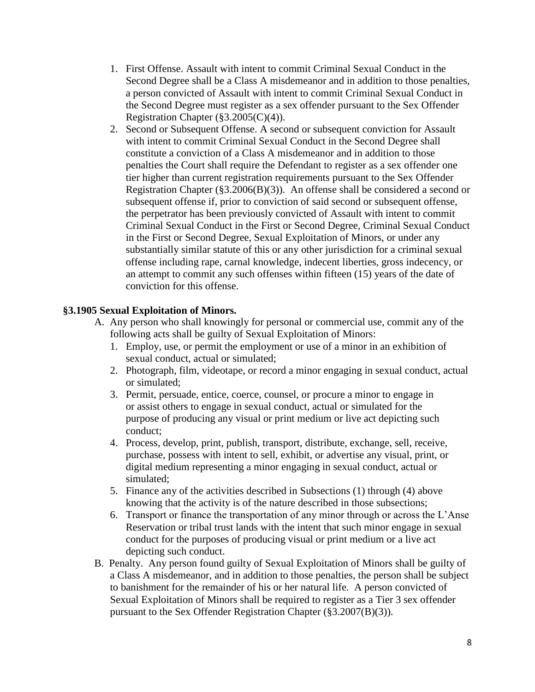- 1. First Offense. Assault with intent to commit Criminal Sexual Conduct in the Second Degree shall be a Class A misdemeanor and in addition to those penalties, a person convicted of Assault with intent to commit Criminal Sexual Conduct in the Second Degree must register as a sex offender pursuant to the Sex Offender Registration Chapter (§3.2005(C)(4)).
- 2. Second or Subsequent Offense. A second or subsequent conviction for Assault with intent to commit Criminal Sexual Conduct in the Second Degree shall constitute a conviction of a Class A misdemeanor and in addition to those penalties the Court shall require the Defendant to register as a sex offender one tier higher than current registration requirements pursuant to the Sex Offender Registration Chapter ( $\S3.2006(B)(3)$ ). An offense shall be considered a second or subsequent offense if, prior to conviction of said second or subsequent offense, the perpetrator has been previously convicted of Assault with intent to commit Criminal Sexual Conduct in the First or Second Degree, Criminal Sexual Conduct in the First or Second Degree, Sexual Exploitation of Minors, or under any substantially similar statute of this or any other jurisdiction for a criminal sexual offense including rape, carnal knowledge, indecent liberties, gross indecency, or an attempt to commit any such offenses within fifteen (15) years of the date of conviction for this offense.

#### <span id="page-7-0"></span>**§3.1905 Sexual Exploitation of Minors.**

- A. Any person who shall knowingly for personal or commercial use, commit any of the following acts shall be guilty of Sexual Exploitation of Minors:
	- 1. Employ, use, or permit the employment or use of a minor in an exhibition of sexual conduct, actual or simulated;
	- 2. Photograph, film, videotape, or record a minor engaging in sexual conduct, actual or simulated;
	- 3. Permit, persuade, entice, coerce, counsel, or procure a minor to engage in or assist others to engage in sexual conduct, actual or simulated for the purpose of producing any visual or print medium or live act depicting such conduct;
	- 4. Process, develop, print, publish, transport, distribute, exchange, sell, receive, purchase, possess with intent to sell, exhibit, or advertise any visual, print, or digital medium representing a minor engaging in sexual conduct, actual or simulated;
	- 5. Finance any of the activities described in Subsections (1) through (4) above knowing that the activity is of the nature described in those subsections;
	- 6. Transport or finance the transportation of any minor through or across the L'Anse Reservation or tribal trust lands with the intent that such minor engage in sexual conduct for the purposes of producing visual or print medium or a live act depicting such conduct.
- B. Penalty. Any person found guilty of Sexual Exploitation of Minors shall be guilty of a Class A misdemeanor, and in addition to those penalties, the person shall be subject to banishment for the remainder of his or her natural life. A person convicted of Sexual Exploitation of Minors shall be required to register as a Tier 3 sex offender pursuant to the Sex Offender Registration Chapter (§3.2007(B)(3)).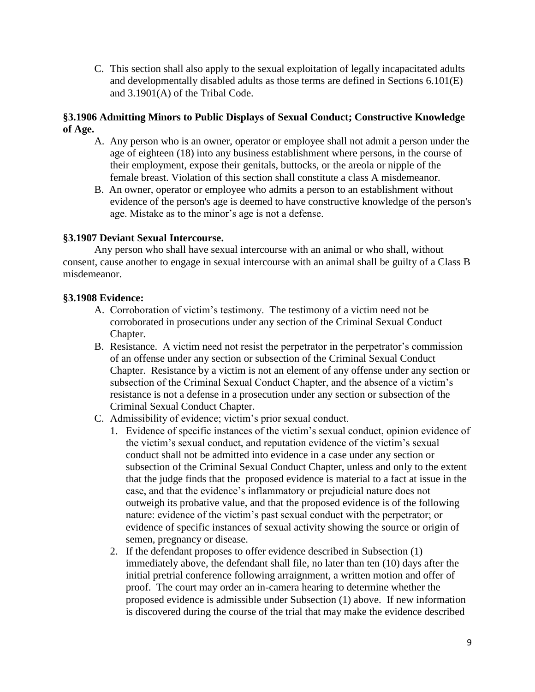C. This section shall also apply to the sexual exploitation of legally incapacitated adults and developmentally disabled adults as those terms are defined in Sections 6.101(E) and 3.1901(A) of the Tribal Code.

### <span id="page-8-0"></span>**§3.1906 Admitting Minors to Public Displays of Sexual Conduct; Constructive Knowledge of Age.**

- A. Any person who is an owner, operator or employee shall not admit a person under the age of eighteen (18) into any business establishment where persons, in the course of their employment, expose their genitals, buttocks, or the areola or nipple of the female breast. Violation of this section shall constitute a class A misdemeanor.
- B. An owner, operator or employee who admits a person to an establishment without evidence of the person's age is deemed to have constructive knowledge of the person's age. Mistake as to the minor's age is not a defense.

# <span id="page-8-1"></span>**§3.1907 Deviant Sexual Intercourse.**

Any person who shall have sexual intercourse with an animal or who shall, without consent, cause another to engage in sexual intercourse with an animal shall be guilty of a Class B misdemeanor.

# <span id="page-8-2"></span>**§3.1908 Evidence:**

- A. Corroboration of victim's testimony. The testimony of a victim need not be corroborated in prosecutions under any section of the Criminal Sexual Conduct Chapter.
- B. Resistance. A victim need not resist the perpetrator in the perpetrator's commission of an offense under any section or subsection of the Criminal Sexual Conduct Chapter. Resistance by a victim is not an element of any offense under any section or subsection of the Criminal Sexual Conduct Chapter, and the absence of a victim's resistance is not a defense in a prosecution under any section or subsection of the Criminal Sexual Conduct Chapter.
- C. Admissibility of evidence; victim's prior sexual conduct.
	- 1. Evidence of specific instances of the victim's sexual conduct, opinion evidence of the victim's sexual conduct, and reputation evidence of the victim's sexual conduct shall not be admitted into evidence in a case under any section or subsection of the Criminal Sexual Conduct Chapter, unless and only to the extent that the judge finds that the proposed evidence is material to a fact at issue in the case, and that the evidence's inflammatory or prejudicial nature does not outweigh its probative value, and that the proposed evidence is of the following nature: evidence of the victim's past sexual conduct with the perpetrator; or evidence of specific instances of sexual activity showing the source or origin of semen, pregnancy or disease.
	- 2. If the defendant proposes to offer evidence described in Subsection (1) immediately above, the defendant shall file, no later than ten (10) days after the initial pretrial conference following arraignment, a written motion and offer of proof. The court may order an in-camera hearing to determine whether the proposed evidence is admissible under Subsection (1) above. If new information is discovered during the course of the trial that may make the evidence described